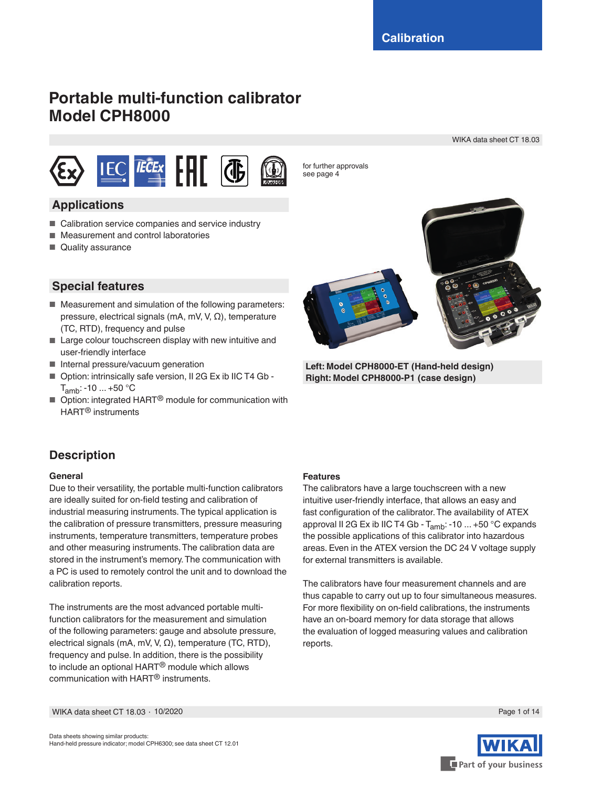# **Portable multi-function calibrator Model CPH8000**

WIKA data sheet CT 18.03



for further approvals see page 4

# **Applications**

- Calibration service companies and service industry
- Measurement and control laboratories
- Quality assurance



**Left: Model CPH8000-ET (Hand-held design) Right: Model CPH8000-P1 (case design)**

# **Special features**

- Measurement and simulation of the following parameters: pressure, electrical signals (mA, mV, V, Ω), temperature (TC, RTD), frequency and pulse
- Large colour touchscreen display with new intuitive and user-friendly interface
- Internal pressure/vacuum generation
- Option: intrinsically safe version, II 2G Ex ib IIC T4 Gb - $T_{amb}: -10 ... +50 °C$
- Option: integrated HART<sup>®</sup> module for communication with HART® instruments

# **Description**

### **General**

Due to their versatility, the portable multi-function calibrators are ideally suited for on-field testing and calibration of industrial measuring instruments. The typical application is the calibration of pressure transmitters, pressure measuring instruments, temperature transmitters, temperature probes and other measuring instruments. The calibration data are stored in the instrument's memory. The communication with a PC is used to remotely control the unit and to download the calibration reports.

The instruments are the most advanced portable multifunction calibrators for the measurement and simulation of the following parameters: gauge and absolute pressure, electrical signals (mA, mV, V, Ω), temperature (TC, RTD), frequency and pulse. In addition, there is the possibility to include an optional HART® module which allows communication with HART® instruments.

### **Features**

The calibrators have a large touchscreen with a new intuitive user-friendly interface, that allows an easy and fast configuration of the calibrator. The availability of ATEX approval II 2G Ex ib IIC T4 Gb -  $T_{amb}$ : -10 ... +50 °C expands the possible applications of this calibrator into hazardous areas. Even in the ATEX version the DC 24 V voltage supply for external transmitters is available.

The calibrators have four measurement channels and are thus capable to carry out up to four simultaneous measures. For more flexibility on on-field calibrations, the instruments have an on-board memory for data storage that allows the evaluation of logged measuring values and calibration reports.



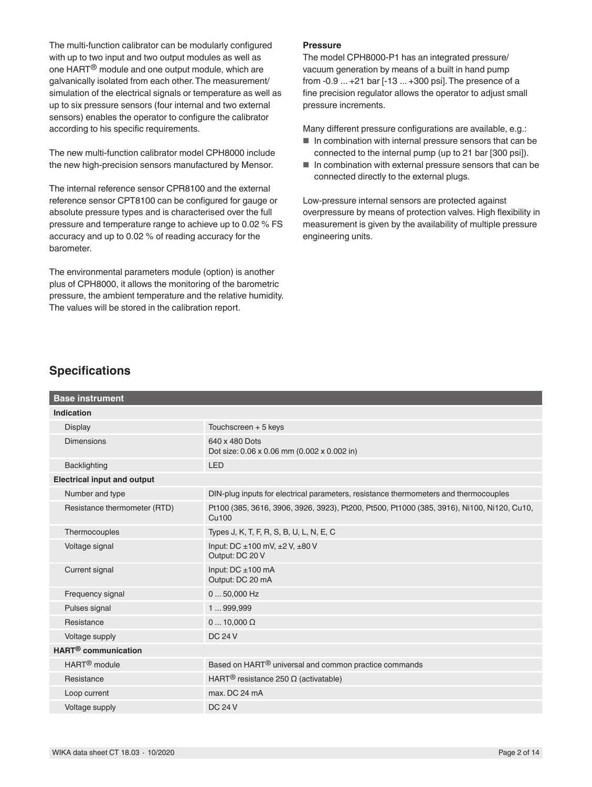The multi-function calibrator can be modularly configured with up to two input and two output modules as well as one HART® module and one output module, which are galvanically isolated from each other. The measurement/ simulation of the electrical signals or temperature as well as up to six pressure sensors (four internal and two external sensors) enables the operator to configure the calibrator according to his specific requirements.

The new multi-function calibrator model CPH8000 include the new high-precision sensors manufactured by Mensor.

The internal reference sensor CPR8100 and the external reference sensor CPT8100 can be configured for gauge or absolute pressure types and is characterised over the full pressure and temperature range to achieve up to 0.02 % FS accuracy and up to 0.02 % of reading accuracy for the barometer.

The environmental parameters module (option) is another plus of CPH8000, it allows the monitoring of the barometric pressure, the ambient temperature and the relative humidity. The values will be stored in the calibration report.

#### **Pressure**

The model CPH8000-P1 has an integrated pressure/ vacuum generation by means of a built in hand pump from -0.9 ... +21 bar [-13 ... +300 psi]. The presence of a fine precision regulator allows the operator to adjust small pressure increments.

Many different pressure configurations are available, e.g.:

- In combination with internal pressure sensors that can be connected to the internal pump (up to 21 bar [300 psi]).
- In combination with external pressure sensors that can be connected directly to the external plugs.

Low-pressure internal sensors are protected against overpressure by means of protection valves. High flexibility in measurement is given by the availability of multiple pressure engineering units.

### **Specifications**

| <b>Base instrument</b>             |                                                                                                     |
|------------------------------------|-----------------------------------------------------------------------------------------------------|
| <b>Indication</b>                  |                                                                                                     |
| <b>Display</b>                     | Touchscreen + 5 keys                                                                                |
| Dimensions                         | 640 x 480 Dots<br>Dot size: 0.06 x 0.06 mm (0.002 x 0.002 in)                                       |
| Backlighting                       | <b>LED</b>                                                                                          |
| <b>Electrical input and output</b> |                                                                                                     |
| Number and type                    | DIN-plug inputs for electrical parameters, resistance thermometers and thermocouples                |
| Resistance thermometer (RTD)       | Pt100 (385, 3616, 3906, 3926, 3923), Pt200, Pt500, Pt1000 (385, 3916), Ni100, Ni120, Cu10,<br>Cu100 |
| Thermocouples                      | Types J, K, T, F, R, S, B, U, L, N, E, C                                                            |
| Voltage signal                     | Input: DC $\pm$ 100 mV, $\pm$ 2 V, $\pm$ 80 V<br>Output: DC 20 V                                    |
| Current signal                     | Input: $DC \pm 100$ mA<br>Output: DC 20 mA                                                          |
| Frequency signal                   | $050,000$ Hz                                                                                        |
| Pulses signal                      | 1999,999                                                                                            |
| Resistance                         | $010,000 \Omega$                                                                                    |
| Voltage supply                     | <b>DC 24 V</b>                                                                                      |
| HART <sup>®</sup> communication    |                                                                                                     |
| HART <sup>®</sup> module           | Based on HART <sup>®</sup> universal and common practice commands                                   |
| Resistance                         | HART <sup>®</sup> resistance 250 $\Omega$ (activatable)                                             |
| Loop current                       | max. DC 24 mA                                                                                       |
| Voltage supply                     | <b>DC 24 V</b>                                                                                      |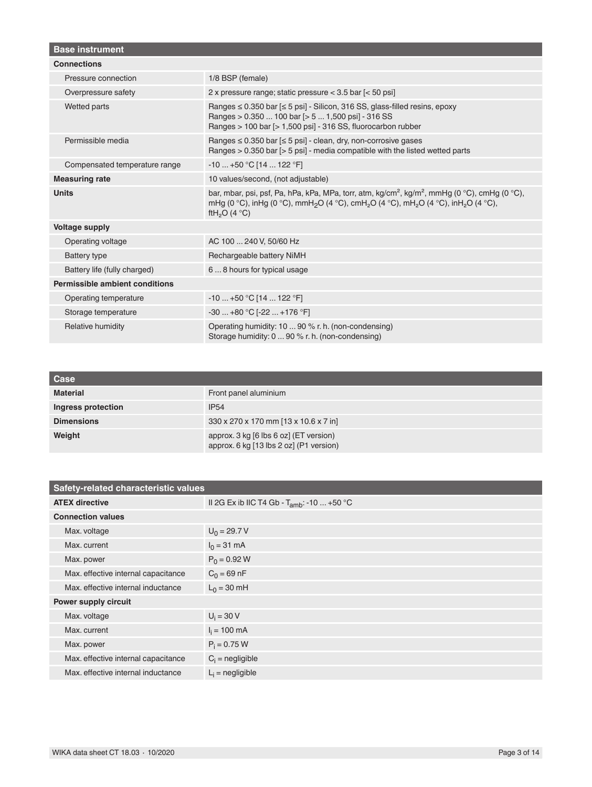| <b>Base instrument</b>                |                                                                                                                                                                                                                                                                                                     |
|---------------------------------------|-----------------------------------------------------------------------------------------------------------------------------------------------------------------------------------------------------------------------------------------------------------------------------------------------------|
| <b>Connections</b>                    |                                                                                                                                                                                                                                                                                                     |
| Pressure connection                   | 1/8 BSP (female)                                                                                                                                                                                                                                                                                    |
| Overpressure safety                   | 2 x pressure range; static pressure < 3.5 bar [< 50 psi]                                                                                                                                                                                                                                            |
| Wetted parts                          | Ranges $\leq$ 0.350 bar $\leq$ 5 psi] - Silicon, 316 SS, glass-filled resins, epoxy<br>Ranges > 0.350  100 bar [> 5  1,500 psi] - 316 SS<br>Ranges > 100 bar [> 1,500 psi] - 316 SS, fluorocarbon rubber                                                                                            |
| Permissible media                     | Ranges $\leq 0.350$ bar $\leq 5$ psi] - clean, dry, non-corrosive gases<br>Ranges $> 0.350$ bar $\lceil$ > 5 psi] - media compatible with the listed wetted parts                                                                                                                                   |
| Compensated temperature range         | $-10+50$ °C [14  122 °F]                                                                                                                                                                                                                                                                            |
| <b>Measuring rate</b>                 | 10 values/second, (not adjustable)                                                                                                                                                                                                                                                                  |
| <b>Units</b>                          | bar, mbar, psi, psf, Pa, hPa, kPa, MPa, torr, atm, kg/cm <sup>2</sup> , kg/m <sup>2</sup> , mmHg (0 °C), cmHg (0 °C),<br>mHg (0 °C), inHg (0 °C), mmH <sub>2</sub> O (4 °C), cmH <sub>2</sub> O (4 °C), mH <sub>2</sub> O (4 °C), inH <sub>2</sub> O (4 °C),<br>ftH <sub>2</sub> O (4 $^{\circ}$ C) |
| <b>Voltage supply</b>                 |                                                                                                                                                                                                                                                                                                     |
| Operating voltage                     | AC 100  240 V, 50/60 Hz                                                                                                                                                                                                                                                                             |
| <b>Battery type</b>                   | Rechargeable battery NiMH                                                                                                                                                                                                                                                                           |
| Battery life (fully charged)          | 68 hours for typical usage                                                                                                                                                                                                                                                                          |
| <b>Permissible ambient conditions</b> |                                                                                                                                                                                                                                                                                                     |
| Operating temperature                 | $-10+50$ °C [14  122 °F]                                                                                                                                                                                                                                                                            |
| Storage temperature                   | $-30+80$ °C [ $-22+176$ °F]                                                                                                                                                                                                                                                                         |
| Relative humidity                     | Operating humidity: 10  90 % r. h. (non-condensing)<br>Storage humidity: 0  90 % r. h. (non-condensing)                                                                                                                                                                                             |

| Case               |                                                                                   |
|--------------------|-----------------------------------------------------------------------------------|
| <b>Material</b>    | Front panel aluminium                                                             |
| Ingress protection | <b>IP54</b>                                                                       |
| <b>Dimensions</b>  | 330 x 270 x 170 mm [13 x 10.6 x 7 in]                                             |
| Weight             | approx. 3 kg [6 lbs 6 oz] (ET version)<br>approx. 6 kg [13 lbs 2 oz] (P1 version) |

| Safety-related characteristic values |                                                        |  |  |  |
|--------------------------------------|--------------------------------------------------------|--|--|--|
| <b>ATEX directive</b>                | II 2G Ex ib IIC T4 Gb - T <sub>amb</sub> : -10  +50 °C |  |  |  |
| <b>Connection values</b>             |                                                        |  |  |  |
| Max. voltage                         | $U_0 = 29.7 V$                                         |  |  |  |
| Max. current                         | $I_0 = 31$ mA                                          |  |  |  |
| Max. power                           | $P_0 = 0.92 W$                                         |  |  |  |
| Max. effective internal capacitance  | $C_0 = 69$ nF                                          |  |  |  |
| Max, effective internal inductance   | $L_0 = 30$ mH                                          |  |  |  |
| <b>Power supply circuit</b>          |                                                        |  |  |  |
| Max. voltage                         | $U_i = 30 V$                                           |  |  |  |
| Max. current                         | $I_i = 100 \text{ mA}$                                 |  |  |  |
| Max. power                           | $P_i = 0.75 W$                                         |  |  |  |
| Max. effective internal capacitance  | $C_i$ = negligible                                     |  |  |  |
| Max, effective internal inductance   | $L_i$ = negligible                                     |  |  |  |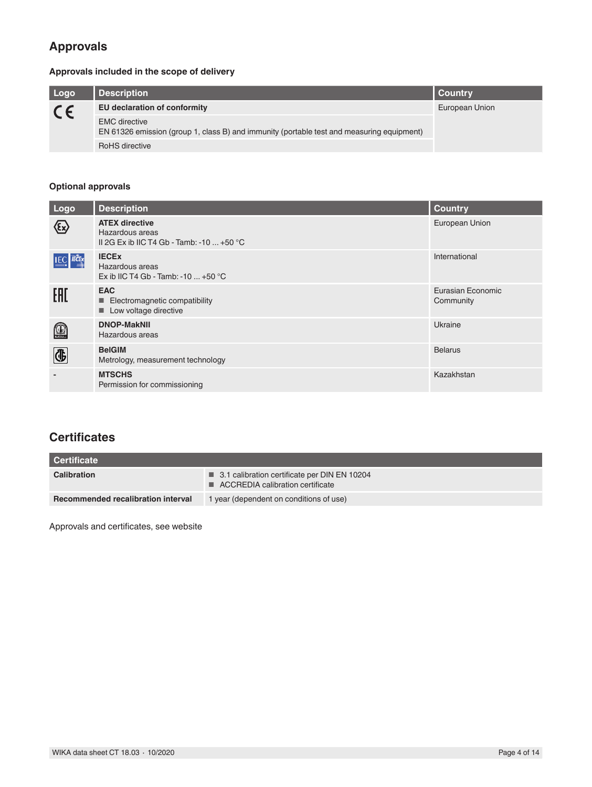# **Approvals**

### **Approvals included in the scope of delivery**

| Logo    | <b>Description</b>                                                                                                | <b>Country</b> |
|---------|-------------------------------------------------------------------------------------------------------------------|----------------|
| $C \in$ | EU declaration of conformity                                                                                      | European Union |
|         | <b>EMC</b> directive<br>EN 61326 emission (group 1, class B) and immunity (portable test and measuring equipment) |                |
|         | RoHS directive                                                                                                    |                |

### **Optional approvals**

| Logo                     | <b>Description</b>                                                                           | <b>Country</b>                 |
|--------------------------|----------------------------------------------------------------------------------------------|--------------------------------|
| $\bigotimes$             | <b>ATEX directive</b><br>Hazardous areas<br>II 2G Ex ib IIC T4 Gb - Tamb: -10 $\dots$ +50 °C | European Union                 |
| <b>IEC</b> IECEX         | <b>IECEX</b><br>Hazardous areas<br>Ex ib IIC T4 Gb - Tamb: -10 $\dots$ +50 °C                | International                  |
| EAC                      | <b>EAC</b><br>Electromagnetic compatibility<br>ш<br>Low voltage directive<br>ш               | Eurasian Economic<br>Community |
| $\textcircled{\tiny{1}}$ | <b>DNOP-MakNII</b><br>Hazardous areas                                                        | Ukraine                        |
| <b>4</b>                 | <b>BelGIM</b><br>Metrology, measurement technology                                           | <b>Belarus</b>                 |
|                          | <b>MTSCHS</b><br>Permission for commissioning                                                | Kazakhstan                     |

# **Certificates**

| Certificate                        |                                                                                      |
|------------------------------------|--------------------------------------------------------------------------------------|
| <b>Calibration</b>                 | ■ 3.1 calibration certificate per DIN EN 10204<br>■ ACCREDIA calibration certificate |
| Recommended recalibration interval | 1 year (dependent on conditions of use)                                              |

Approvals and certificates, see website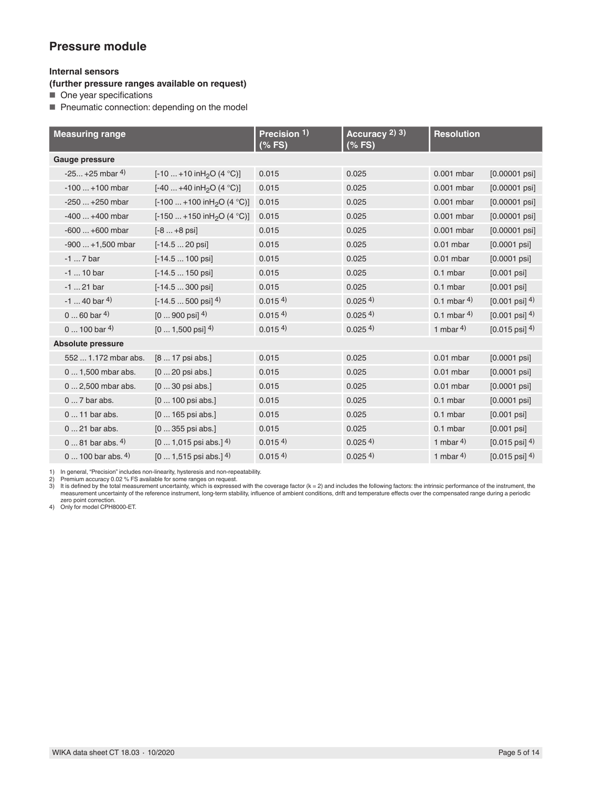### **Pressure module**

### **Internal sensors**

**(further pressure ranges available on request)**

■ One year specifications

■ Pneumatic connection: depending on the model

| <b>Measuring range</b>    |                                           | Precision 1)<br>$(% \mathbb{R}^2)$ (% FS) | Accuracy 2) 3)<br>(% FS) | <b>Resolution</b> |                                        |
|---------------------------|-------------------------------------------|-------------------------------------------|--------------------------|-------------------|----------------------------------------|
| Gauge pressure            |                                           |                                           |                          |                   |                                        |
| $-25 + 25$ mbar 4)        | $[-10  +10 inH2O (4 °C)]$                 | 0.015                                     | 0.025                    | 0.001 mbar        | $[0.00001$ psi]                        |
| $-100+100$ mbar           | [-40  +40 in H <sub>2</sub> O (4 °C)]     | 0.015                                     | 0.025                    | 0.001 mbar        | $[0.00001$ psi]                        |
| $-250+250$ mbar           | $[-100  +100 in H2O (4 °C)]$              | 0.015                                     | 0.025                    | 0.001 mbar        | $[0.00001$ psi]                        |
| $-400+400$ mbar           | $[-150  +150$ in H <sub>2</sub> O (4 °C)] | 0.015                                     | 0.025                    | 0.001 mbar        | $[0.00001$ psi]                        |
| $-600+600$ mbar           | $[-8  +8$ psi                             | 0.015                                     | 0.025                    | 0.001 mbar        | $[0.00001$ psi]                        |
| $-900+1,500$ mbar         | $[-14.520$ psi                            | 0.015                                     | 0.025                    | $0.01$ mbar       | $[0.0001$ psi]                         |
| $-17$ bar                 | $[-14.5100$ psi                           | 0.015                                     | 0.025                    | $0.01$ mbar       | $[0.0001$ psi]                         |
| $-1$ 10 bar               | $[-14.5150$ psil                          | 0.015                                     | 0.025                    | $0.1$ mbar        | $[0.001$ psi]                          |
| $-1$ 21 bar               | $[-14.5300$ psi                           | 0.015                                     | 0.025                    | $0.1$ mbar        | $[0.001$ psi]                          |
| $-1$ 40 bar <sup>4)</sup> | $[-14.5500$ psi $]$ <sup>4)</sup>         | 0.0154                                    | 0.0254                   | $0.1$ mbar 4)     | $[0.001 \text{ psi}]$ <sup>4)</sup>    |
| $060$ bar 4)              | $[0 \dots 900 \text{ psi}]$ <sup>4)</sup> | 0.015 <sup>4</sup>                        | 0.0254                   | 0.1 mbar $4$ )    | $[0.001 \text{ psi}]$ <sup>4)</sup>    |
| $0100$ bar 4)             | $[01,500$ psi <sup>14</sup> )             | 0.015 <sup>4</sup>                        | $0.025$ <sup>4)</sup>    | 1 mbar $4$ )      | $[0.015 \text{ psi}]$ <sup>4)</sup>    |
| <b>Absolute pressure</b>  |                                           |                                           |                          |                   |                                        |
| 552  1.172 mbar abs.      | [8  17 psi abs.]                          | 0.015                                     | 0.025                    | $0.01$ mbar       | $[0.0001$ psi]                         |
| 0  1,500 mbar abs.        | $[020$ psi abs.]                          | 0.015                                     | 0.025                    | $0.01$ mbar       | $[0.0001$ psi]                         |
| 0  2,500 mbar abs.        | $[030$ psi abs.]                          | 0.015                                     | 0.025                    | $0.01$ mbar       | $[0.0001$ psi]                         |
| $07$ bar abs.             | $[0100$ psi abs.]                         | 0.015                                     | 0.025                    | 0.1 mbar          | $[0.0001$ psi]                         |
| 0  11 bar abs.            | $[0165$ psi abs.]                         | 0.015                                     | 0.025                    | 0.1 mbar          | $[0.001$ $psi]$                        |
| 0  21 bar abs.            | $[0355$ psi abs.]                         | 0.015                                     | 0.025                    | $0.1$ mbar        | $[0.001$ psi]                          |
| $081$ bar abs. $4)$       | $[01,015$ psi abs.] 4)                    | 0.0154                                    | 0.0254                   | 1 mbar $4$ )      | $[0.015 \,\text{psi}]\,$ <sup>4)</sup> |
| 0  100 bar abs. $4)$      | $[01,515$ psi abs.] 4)                    | 0.0154                                    | 0.0254                   | 1 mbar $4$ )      | $[0.015 \text{ psi}]$ <sup>4)</sup>    |

1) In general, "Precision" includes non-linearity, hysteresis and non-repeatability.

2) Premium accuracy 0.02 % FS available for some ranges on request.<br>3) It is defined by the total measurement uncertainty, which is expressed with the coverage factor (k = 2) and includes the following factors: the intrins

zero point correction. 4) Only for model CPH8000-ET.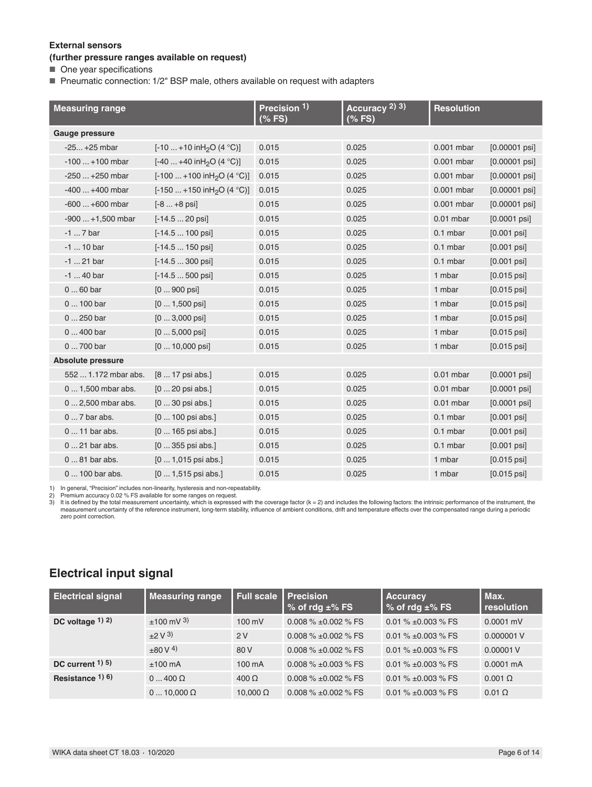#### **External sensors**

#### **(further pressure ranges available on request)**

■ One year specifications

■ Pneumatic connection: 1/2" BSP male, others available on request with adapters

| <b>Measuring range</b>   |                                         | Precision 1)<br>$(%$ (% FS) | Accuracy 2) 3)<br>$(%$ (% FS) | <b>Resolution</b> |                          |
|--------------------------|-----------------------------------------|-----------------------------|-------------------------------|-------------------|--------------------------|
| Gauge pressure           |                                         |                             |                               |                   |                          |
| $-25+25$ mbar            | [-10  +10 in H <sub>2</sub> O (4 °C)]   | 0.015                       | 0.025                         | 0.001 mbar        | $[0.00001$ psi]          |
| $-100+100$ mbar          | $[-40+40$ in H <sub>2</sub> O (4 °C)]   | 0.015                       | 0.025                         | 0.001 mbar        | $[0.00001$ psi]          |
| $-250+250$ mbar          | [-100  +100 in H <sub>2</sub> O (4 °C)] | 0.015                       | 0.025                         | 0.001 mbar        | $[0.00001$ psi]          |
| $-400+400$ mbar          | $[-150+150$ in H <sub>2</sub> O (4 °C)] | 0.015                       | 0.025                         | 0.001 mbar        | $[0.00001$ psi]          |
| $-600+600$ mbar          | $[-8  +8$ psi                           | 0.015                       | 0.025                         | 0.001 mbar        | $[0.00001$ psi]          |
| $-900+1,500$ mbar        | $[-14.520$ psi                          | 0.015                       | 0.025                         | $0.01$ mbar       | $[0.0001$ psi]           |
| $-17$ bar                | $[-14.5 \dots 100 \text{ psi}]$         | 0.015                       | 0.025                         | 0.1 mbar          | $[0.001$ psi]            |
| $-1$ 10 bar              | $[-14.5150$ psi                         | 0.015                       | 0.025                         | 0.1 mbar          | $[0.001$ psi]            |
| $-1$ 21 bar              | $[-14.5300$ psi                         | 0.015                       | 0.025                         | 0.1 mbar          | $[0.001$ psi]            |
| $-1$ 40 bar              | $[-14.5500$ psi                         | 0.015                       | 0.025                         | 1 mbar            | $[0.015 \,\mathrm{psi}]$ |
| $060$ bar                | $[0900$ psi]                            | 0.015                       | 0.025                         | 1 mbar            | $[0.015 \,\mathrm{psi}]$ |
| 0  100 bar               | $[01,500$ psi                           | 0.015                       | 0.025                         | 1 mbar            | $[0.015 \,\mathrm{psi}]$ |
| 0  250 bar               | $[03,000$ psi                           | 0.015                       | 0.025                         | 1 mbar            | $[0.015 \,\mathrm{psi}]$ |
| 0  400 bar               | $[05,000$ psi                           | 0.015                       | 0.025                         | 1 mbar            | $[0.015 \,\mathrm{psi}]$ |
| 0  700 bar               | $[0 \dots 10,000 \text{ psi}]$          | 0.015                       | 0.025                         | 1 mbar            | $[0.015 \,\mathrm{psi}]$ |
| <b>Absolute pressure</b> |                                         |                             |                               |                   |                          |
| 552  1.172 mbar abs.     | [8  17 psi abs.]                        | 0.015                       | 0.025                         | $0.01$ mbar       | $[0.0001$ psi]           |
| 0  1,500 mbar abs.       | $[020$ psi abs.]                        | 0.015                       | 0.025                         | $0.01$ mbar       | $[0.0001$ psi]           |
| 0  2,500 mbar abs.       | $[030$ psi abs.]                        | 0.015                       | 0.025                         | $0.01$ mbar       | $[0.0001$ psi]           |
| $07$ bar abs.            | [0  100 psi abs.]                       | 0.015                       | 0.025                         | $0.1$ mbar        | $[0.001$ psi]            |
| 0  11 bar abs.           | $[0165$ psi abs.]                       | 0.015                       | 0.025                         | 0.1 mbar          | $[0.001$ psi]            |
| $0 \dots 21$ bar abs.    | $[0355$ psi abs.]                       | 0.015                       | 0.025                         | $0.1$ mbar        | $[0.001$ psi]            |
| 0  81 bar abs.           | $[01,015$ psi abs.]                     | 0.015                       | 0.025                         | 1 mbar            | $[0.015 \,\mathrm{psi}]$ |
| 0  100 bar abs.          | $[01,515$ psi abs.]                     | 0.015                       | 0.025                         | 1 mbar            | $[0.015$ psi]            |

1) In general, "Precision" includes non-linearity, hysteresis and non-repeatability.

2) Premium accuracy 0.02 % FS available for some ranges on request.<br>3) It is defined by the total measurement uncertainty, which is expressed with the coverage factor (k = 2) and includes the following factors: the intrins zero point correction.

# **Electrical input signal**

| <b>Electrical signal</b> | <b>Measuring range</b> | <b>Full scale</b> | <b>Precision</b><br>% of rdg $\pm$ % FS | <b>Accuracy</b><br>$\frac{1}{2}$ of rdg $\pm\%$ FS | Max.<br>resolution  |
|--------------------------|------------------------|-------------------|-----------------------------------------|----------------------------------------------------|---------------------|
| DC voltage $(1)$ 2)      | $±100$ mV 3)           | $100 \text{ mV}$  | 0.008 $\%$ ±0.002 $\%$ FS               | 0.01 % $\pm$ 0.003 % FS                            | $0.0001$ mV         |
|                          | $\pm 2 \text{ V }^{3}$ | 2V                | 0.008 $\%$ ±0.002 $\%$ FS               | $0.01\% \pm 0.003\%$ FS                            | 0.000001 V          |
|                          | $+80V4$                | 80 V              | 0.008 $\%$ ±0.002 $\%$ FS               | $0.01\% \pm 0.003\%$ FS                            | 0.00001V            |
| DC current $(1)$ 5)      | $±100$ mA              | 100 mA            | 0.008 % $\pm$ 0.003 % FS                | 0.01 $% \pm 0.003$ % FS                            | $0.0001 \text{ mA}$ |
| Resistance $1)$ 6)       | $0 \dots 400 \Omega$   | $400 \Omega$      | 0.008 $\%$ ±0.002 $\%$ FS               | 0.01 % $\pm$ 0.003 % FS                            | $0.001$ $\Omega$    |
|                          | $010.000 \Omega$       | 10.000 $\Omega$   | 0.008 $\%$ ±0.002 $\%$ FS               | 0.01 $% \pm 0.003$ % FS                            | $0.01 \Omega$       |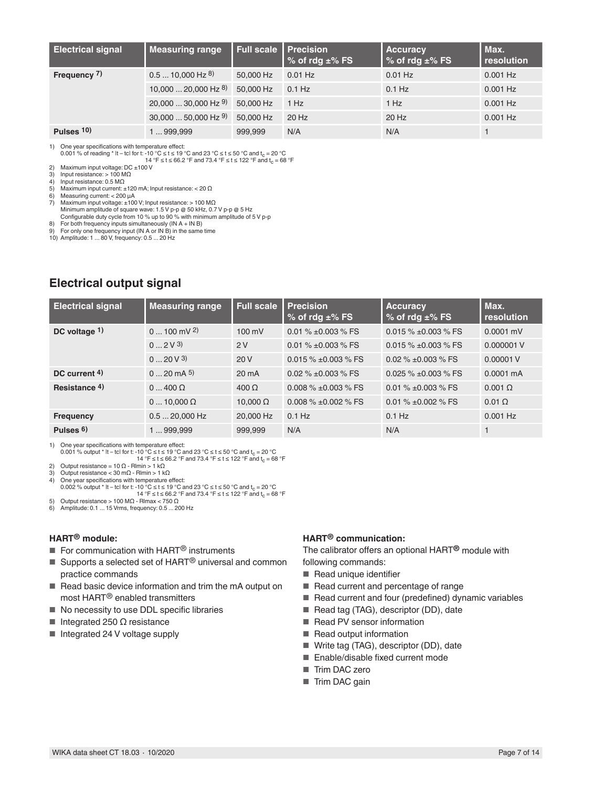| <b>Electrical signal</b> | <b>Measuring range</b>     | Full scale   Precision | % of rdg $\pm$ % FS | <b>Accuracy</b><br>% of rdg $\pm$ % FS | Max.<br>resolution |
|--------------------------|----------------------------|------------------------|---------------------|----------------------------------------|--------------------|
| Frequency 7)             | $0.510,000$ Hz $^{8}$ )    | 50,000 Hz              | $0.01$ Hz           | $0.01$ Hz                              | $0.001$ Hz         |
|                          | $10,00020,000$ Hz $^{8}$ ) | 50,000 Hz              | $0.1$ Hz            | $0.1$ Hz                               | $0.001$ Hz         |
|                          | $20,00030,000$ Hz $9)$     | 50,000 Hz              | 1 Hz                | 1 Hz                                   | $0.001$ Hz         |
|                          | $30,00050,000$ Hz $9)$     | 50,000 Hz              | 20 Hz               | 20 Hz                                  | $0.001$ Hz         |
| Pulses $10$ )            | 1  999,999                 | 999,999                | N/A                 | N/A                                    |                    |

1) One year specifications with temperature effect:

0.001 % of reading  $*$  |t – tc| for t: -10 °C  $\leq$  t  $\leq$  19 °C and 23 °C  $\leq$  t  $\leq$  50 °C and t<sub>c</sub> = 20 °C 14 °F ≤ t ≤ 66.2 °F and 73.4 °F ≤ t ≤ 122 °F and t<sub>c</sub> = 68 °F

2) Maximum input voltage: DC ±100 V

3) Input resistance: > 100 MΩ<br>4) Input resistance: 0.5 MΩ

- 4) Input resistance: 0.5 MΩ
- 5) Maximum input current: ±120 mA; Input resistance: < 20 Ω
- 
- 6) Measuring current: < 200 µA 7) Maximum input voltage: ±100 V; Input resistance: > 100 MΩ Minimum amplitude of square wave: 1.5 V p-p @ 50 kHz, 0.7 V p-p @ 5 Hz
- 
- Configurable duty cycle from 10 % up to 90 % with minimum amplitude of 5 V p-p 8) For both frequency inputs simultaneously (IN A + IN B)

9) For only one frequency input (IN A or IN B) in the same time

10) Amplitude: 1 ... 80 V, frequency: 0.5 ... 20 Hz

# **Electrical output signal**

| <b>Electrical signal</b> | <b>Measuring range</b> | <b>Full scale</b> | <b>Precision</b><br>% of rdg $\pm$ % FS | <b>Accuracy</b><br>$%$ of rdg $±%$ FS | Max.<br>resolution  |
|--------------------------|------------------------|-------------------|-----------------------------------------|---------------------------------------|---------------------|
| DC voltage $1$ )         | $0 \dots 100$ mV 2)    | $100 \text{ mV}$  | 0.01 % $\pm$ 0.003 % FS                 | $0.015\%$ ±0.003 % FS                 | $0.0001$ mV         |
|                          | 02V3                   | 2V                | 0.01 % $\pm$ 0.003 % FS                 | $0.015\% + 0.003\%$ FS                | 0.000001 V          |
|                          | 020V3                  | 20V               | 0.015 $% \pm 0.003$ % FS                | 0.02 % $\pm$ 0.003 % FS               | 0.00001V            |
| DC current $4$ )         | $0 \dots 20$ mA $5$ )  | $20 \text{ mA}$   | $0.02\% \pm 0.003\%$ FS                 | $0.025 \% \pm 0.003 \%$ FS            | $0.0001 \text{ mA}$ |
| Resistance 4)            | $0 \dots 400 \Omega$   | $400\Omega$       | 0.008 $% \pm 0.003$ % FS                | 0.01 % $\pm$ 0.003 % FS               | $0.001$ $\Omega$    |
|                          | $010.000 \Omega$       | 10.000 $\Omega$   | $0.008\% \pm 0.002\%$ FS                | $0.01\% \pm 0.002\%$ FS               | $0.01$ $\Omega$     |
| <b>Frequency</b>         | $0.520,000$ Hz         | 20,000 Hz         | $0.1$ Hz                                | $0.1$ Hz                              | $0.001$ Hz          |
| Pulses $6$ )             | 1999.999               | 999.999           | N/A                                     | N/A                                   |                     |

1) One year specifications with temperature effect:<br>0.001 % output \* It – tcl for t: -10 °C ≤ t ≤ 19 °C and 23 °C ≤ t ≤ 50 °C and t<sub>c</sub> = 20 °C

14 °F ≤ t ≤ 66.2 °F and 73.4 °F ≤ t ≤ 122 °F and t<sub>c</sub> = 68 °F<br>2) Output resistance = 10 Ω - Rlmin > 1 kΩ

3) Output resistance < 30 m $\Omega$  - Rlmin > 1 k $\Omega$ <br>4) One year specifications with temperature e

- One year specifications with temperature effect:
	-
	- 0.002 % output \* it tcl for t: -10 °C ≤ t ≤ 19 °C and 23 °C ≤ t ≤ 50 °C and t<sub>c</sub> = 20 °C<br>14 °F ≤ t ≤ 66.2 °F and 73.4 °F ≤ t ≤ 122 °F and t<sub>c</sub> = 68 °F

5) Output resistance > 100 MΩ - Rlmax < 750 Ω

6) Amplitude: 0.1 ... 15 Vrms, frequency: 0.5 ... 200 Hz

#### **HART® module:**

- For communication with HART<sup>®</sup> instruments
- Supports a selected set of HART<sup>®</sup> universal and common practice commands
- Read basic device information and trim the mA output on most HART® enabled transmitters
- No necessity to use DDL specific libraries
- Integrated 250  $Ω$  resistance
- Integrated 24 V voltage supply

### **HART® communication:**

The calibrator offers an optional HART**®** module with following commands:

- Read unique identifier
- Read current and percentage of range
- Read current and four (predefined) dynamic variables
- Read tag (TAG), descriptor (DD), date
- Read PV sensor information
- Read output information
- Write tag (TAG), descriptor (DD), date
- Enable/disable fixed current mode
- Trim DAC zero
- Trim DAC gain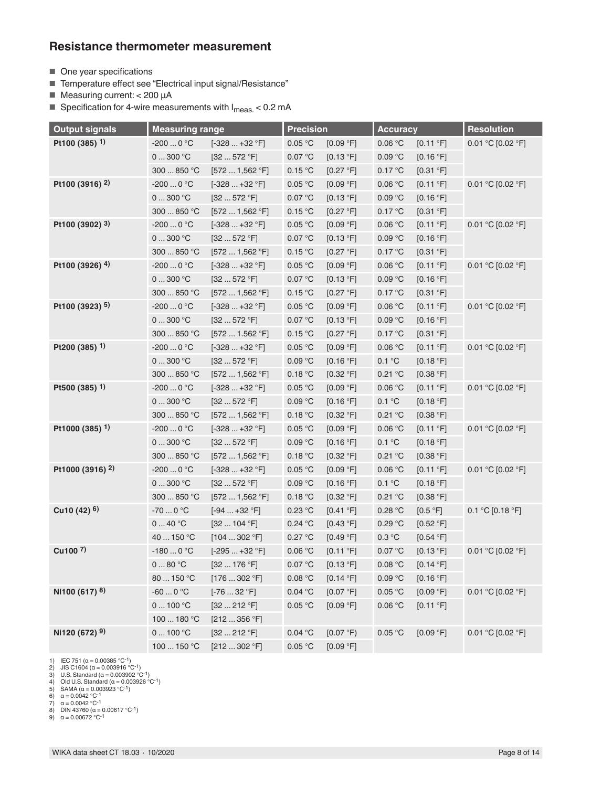### **Resistance thermometer measurement**

- One year specifications
- Temperature effect see "Electrical input signal/Resistance"
- Measuring current: < 200 µA

■ Specification for 4-wire measurements with  $I<sub>meas.</sub> < 0.2$  mA

| <b>Output signals</b>       | <b>Measuring range</b>                |                     | <b>Precision</b> |           | <b>Accuracy</b> |           | <b>Resolution</b>  |  |
|-----------------------------|---------------------------------------|---------------------|------------------|-----------|-----------------|-----------|--------------------|--|
| Pt100 (385) 1)              | $-2000$ °C                            | $[-328+32 °F]$      | 0.05 °C          | [0.09 °F] | 0.06 °C         | [0.11 °F] | 0.01 °C [0.02 °F]  |  |
|                             | 0300 °C                               | [32572 °F]          | 0.07 °C          | [0.13 °F] | 0.09 °C         | [0.16 °F] |                    |  |
|                             | 300  850 °C                           | [5721,562 °F]       | 0.15 °C          | [0.27 °F] | 0.17 °C         | [0.31 °F] |                    |  |
| Pt100 (3916) <sup>2)</sup>  | $-2000$ °C                            | $[-328+32 °F]$      | 0.05 °C          | [0.09 °F] | 0.06 °C         | [0.11 °F] | 0.01 °C [0.02 °F]  |  |
|                             | 0300 °C                               | [32572 °F]          | 0.07 °C          | [0.13 °F] | 0.09 °C         | [0.16 °F] |                    |  |
|                             | 300  850 °C                           | [5721,562 °F]       | 0.15 °C          | [0.27 °F] | 0.17 °C         | [0.31 °F] |                    |  |
| Pt100 (3902) 3)             | $-2000$ °C                            | $[-328+32 °F]$      | 0.05 °C          | [0.09 °F] | 0.06 °C         | [0.11 °F] | 0.01 °C [0.02 °F]  |  |
|                             | 0300 °C                               | [32572 °F]          | 0.07 °C          | [0.13 °F] | 0.09 °C         | [0.16 °F] |                    |  |
|                             | 300  850 °C                           | [5721,562 °F]       | 0.15 °C          | [0.27 °F] | 0.17 °C         | [0.31 °F] |                    |  |
| Pt100 (3926) 4)             | -200 $\ldots$ 0 °C                    | $[-328+32 °F]$      | 0.05 °C          | [0.09 °F] | 0.06 °C         | [0.11 °F] | 0.01 °C [0.02 °F]  |  |
|                             | 0300 °C                               | [32572 °F]          | 0.07 °C          | [0.13 °F] | 0.09 °C         | [0.16 °F] |                    |  |
|                             | 300  850 °C                           | [5721,562 °F]       | 0.15 °C          | [0.27 °F] | 0.17 °C         | [0.31 °F] |                    |  |
| Pt100 (3923) 5)             | $-2000$ °C                            | $[-328+32 °F]$      | 0.05 °C          | [0.09 °F] | 0.06 °C         | [0.11 °F] | 0.01 °C [0.02 °F]  |  |
|                             | 0300 °C                               | [32572 °F]          | 0.07 °C          | [0.13 °F] | 0.09 °C         | [0.16 °F] |                    |  |
|                             | 300  850 °C                           | [5721.562 °F]       | 0.15 °C          | [0.27 °F] | 0.17 °C         | [0.31 °F] |                    |  |
| Pt200 (385) $1)$            | -200 $\ldots$ 0 $^{\circ} \mathrm{C}$ | $[-328+32 °F]$      | 0.05 °C          | [0.09 °F] | 0.06 °C         | [0.11 °F] | 0.01 °C [0.02 °F]  |  |
|                             | 0300 °C                               | [32572 °F]          | 0.09 °C          | [0.16 °F] | 0.1 °C          | [0.18 °F] |                    |  |
|                             | 300  850 °C                           | [5721,562 °F]       | 0.18 °C          | [0.32 °F] | 0.21 °C         | [0.38 °F] |                    |  |
| Pt500 (385) $1)$            | -200 $\ldots$ 0 $^{\circ} \mathrm{C}$ | $[-328+32 °F]$      | 0.05 °C          | [0.09 °F] | 0.06 °C         | [0.11 °F] | 0.01 °C [0.02 °F]  |  |
|                             | 0300 °C                               | [32572 °F]          | 0.09 °C          | [0.16 °F] | 0.1 °C          | [0.18 °F] |                    |  |
|                             | 300  850 °C                           | [5721,562 °F]       | 0.18 °C          | [0.32 °F] | 0.21 °C         | [0.38 °F] |                    |  |
| Pt1000 (385) <sup>1)</sup>  | $-2000$ °C                            | $[-328+32 °F]$      | 0.05 °C          | [0.09 °F] | 0.06 °C         | [0.11 °F] | 0.01 °C [0.02 °F]  |  |
|                             | 0300 °C                               | [32572 °F]          | 0.09 °C          | [0.16 °F] | 0.1 °C          | [0.18 °F] |                    |  |
|                             | 300  850 °C                           | [5721,562 °F]       | 0.18 °C          | [0.32 °F] | 0.21 °C         | [0.38 °F] |                    |  |
| Pt1000 (3916) <sup>2)</sup> | $-2000$ °C                            | $[-328+32 °F]$      | 0.05 °C          | [0.09 °F] | 0.06 °C         | [0.11 °F] | 0.01 °C [0.02 °F]  |  |
|                             | 0300 °C                               | [32572 °F]          | 0.09 °C          | [0.16 °F] | 0.1 °C          | [0.18 °F] |                    |  |
|                             | 300  850 °C                           | [5721,562 °F]       | 0.18 °C          | [0.32 °F] | 0.21 °C         | [0.38 °F] |                    |  |
| Cu10 $(42)$ <sup>6)</sup>   | -70 $\ldots$ 0 $^{\circ} \mathrm{C}$  | $[-94+32 °F]$       | 0.23 °C          | [0.41 °F] | 0.28 °C         | [0.5 °F]  | $0.1 °C$ [0.18 °F] |  |
|                             | $040$ °C                              | $[32 \dots 104 °F]$ | 0.24 °C          | [0.43 °F] | 0.29 °C         | [0.52 °F] |                    |  |
|                             | 40  150 °C                            | [104302 °F]         | 0.27 °C          | [0.49 °F] | 0.3 °C          | [0.54 °F] |                    |  |
| Cu100 $7$ )                 | $-1800$ °C                            | $[-295+32 °F]$      | 0.06 °C          | [0.11 °F] | 0.07 °C         | [0.13 °F] | 0.01 °C [0.02 °F]  |  |
|                             | 080 °C                                | [32176 °F]          | 0.07 °C          | [0.13 °F] | 0.08 °C         | [0.14 °F] |                    |  |
|                             | 80  150 °C                            | [176302 °F]         | 0.08 °C          | [0.14 °F] | 0.09 °C         | [0.16 °F] |                    |  |
| Ni100 (617) 8)              | $-600$ °C                             | $[-7632 °F]$        | 0.04 °C          | [0.07 °F] | 0.05 °C         | [0.09 °F] | 0.01 °C [0.02 °F]  |  |
|                             | $0 \dots 100$ °C                      | [32212 °F]          | 0.05 °C          | [0.09 °F] | 0.06 °C         | [0.11 °F] |                    |  |
|                             | 100  180 °C                           | [212356 °F]         |                  |           |                 |           |                    |  |
| Ni120 (672) 9)              | $0 \dots 100$ °C                      | [32212 °F]          | 0.04 °C          | [0.07 °F) | 0.05 °C         | [0.09 °F] | 0.01 °C [0.02 °F]  |  |
|                             | 100  150 °C                           | [212302 °F]         | 0.05 °C          | [0.09 °F] |                 |           |                    |  |

1) IEC 751 (α = 0.00385 °C-1) 2) JIS C1604 (α = 0.003916 °C-1) 3) U.S. Standard (α = 0.003902 °C-1)

4) Old U.S. Standard (α = 0.003926 °C<sup>-1</sup>)<br>5) SAMA (α = 0.003923 °C<sup>-1</sup>)<br>6) α = 0.0042 °C<sup>-1</sup><br>7) α = 0.0042 °C<sup>-1</sup>

8) DIN 43760 (α = 0.00617 °C<sup>-1</sup>)<br>9) α = 0.00672 °C<sup>-1</sup>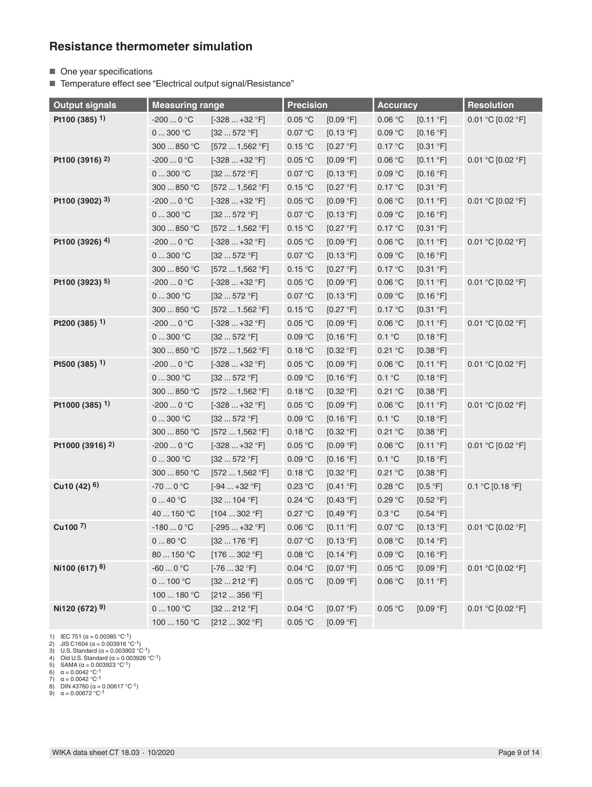### **Resistance thermometer simulation**

■ One year specifications

■ Temperature effect see "Electrical output signal/Resistance"

| <b>Output signals</b>       | <b>Measuring range</b>                |                     | <b>Precision</b> |           | <b>Accuracy</b> |           | <b>Resolution</b>  |  |
|-----------------------------|---------------------------------------|---------------------|------------------|-----------|-----------------|-----------|--------------------|--|
| Pt100 (385) 1)              | $-2000$ °C                            | $[-328+32 °F]$      | 0.05 °C          | [0.09 °F] | 0.06 °C         | [0.11 °F] | 0.01 °C [0.02 °F]  |  |
|                             | 0300 °C                               | [32572 °F]          | 0.07 °C          | [0.13 °F] | 0.09 °C         | [0.16 °F] |                    |  |
|                             | 300  850 °C                           | [5721,562 °F]       | 0.15 °C          | [0.27 °F] | 0.17 °C         | [0.31 °F] |                    |  |
| Pt100 (3916) <sup>2)</sup>  | $-2000$ °C                            | $[-328+32 °F]$      | 0.05 °C          | [0.09 °F] | 0.06 °C         | [0.11 °F] | 0.01 °C [0.02 °F]  |  |
|                             | 0300 °C                               | [32572 °F]          | 0.07 °C          | [0.13 °F] | 0.09 °C         | [0.16 °F] |                    |  |
|                             | 300  850 °C                           | [5721,562 °F]       | 0.15 °C          | [0.27 °F] | 0.17 °C         | [0.31 °F] |                    |  |
| Pt100 (3902) 3)             | -200 $\ldots$ 0 $^{\circ} \mathrm{C}$ | $[-328+32 °F]$      | 0.05 °C          | [0.09 °F] | 0.06 °C         | [0.11 °F] | 0.01 °C [0.02 °F]  |  |
|                             | 0300 °C                               | [32572 °F]          | 0.07 °C          | [0.13 °F] | 0.09 °C         | [0.16 °F] |                    |  |
|                             | 300  850 °C                           | [5721,562 °F]       | 0.15 °C          | [0.27 °F] | 0.17 °C         | [0.31 °F] |                    |  |
| Pt100 (3926) 4)             | $-2000$ °C                            | $[-328+32 °F]$      | 0.05 °C          | [0.09 °F] | 0.06 °C         | [0.11 °F] | 0.01 °C [0.02 °F]  |  |
|                             | 0300 °C                               | [32572 °F]          | 0.07 °C          | [0.13 °F] | 0.09 °C         | [0.16 °F] |                    |  |
|                             | 300  850 °C                           | [5721,562 °F]       | 0.15 °C          | [0.27 °F] | 0.17 °C         | [0.31 °F] |                    |  |
| Pt100 (3923) 5)             | $-2000$ °C                            | $[-328+32 °F]$      | 0.05 °C          | [0.09 °F] | 0.06 °C         | [0.11 °F] | 0.01 °C [0.02 °F]  |  |
|                             | 0300 °C                               | [32572 °F]          | 0.07 °C          | [0.13 °F] | 0.09 °C         | [0.16 °F] |                    |  |
|                             | 300  850 °C                           | [5721.562 °F]       | 0.15 °C          | [0.27 °F] | 0.17 °C         | [0.31 °F] |                    |  |
| Pt200 (385) 1)              | -200 $\ldots$ 0 $^{\circ} \mathrm{C}$ | $[-328+32 °F]$      | 0.05 °C          | [0.09 °F] | 0.06 °C         | [0.11 °F] | 0.01 °C [0.02 °F]  |  |
|                             | 0300 °C                               | [32572 °F]          | 0.09 °C          | [0.16 °F] | 0.1 °C          | [0.18 °F] |                    |  |
|                             | 300  850 °C                           | [5721,562 °F]       | 0.18 °C          | [0.32 °F] | 0.21 °C         | [0.38 °F] |                    |  |
| Pt500 (385) <sup>1)</sup>   | $-2000$ °C                            | $[-328+32 °F]$      | 0.05 °C          | [0.09 °F] | 0.06 °C         | [0.11 °F] | 0.01 °C [0.02 °F]  |  |
|                             | 0300 °C                               | [32572 °F]          | 0.09 °C          | [0.16 °F] | 0.1 °C          | [0.18 °F] |                    |  |
|                             | 300  850 °C                           | [5721,562 °F]       | 0.18 °C          | [0.32 °F] | 0.21 °C         | [0.38 °F] |                    |  |
| Pt1000 (385) 1)             | $-2000$ °C                            | $[-328+32 °F]$      | 0.05 °C          | [0.09 °F] | 0.06 °C         | [0.11 °F] | 0.01 °C [0.02 °F]  |  |
|                             | 0300 °C                               | [32572 °F]          | 0.09 °C          | [0.16 °F] | 0.1 °C          | [0.18 °F] |                    |  |
|                             | 300  850 °C                           | [5721,562 °F]       | 0.18 °C          | [0.32 °F] | 0.21 °C         | [0.38 °F] |                    |  |
| Pt1000 (3916) <sup>2)</sup> | -200 $\ldots$ 0 $^{\circ} \mathrm{C}$ | $[-328+32 °F]$      | 0.05 °C          | [0.09 °F] | 0.06 °C         | [0.11 °F] | 0.01 °C [0.02 °F]  |  |
|                             | 0300 °C                               | [32572 °F]          | 0.09 °C          | [0.16 °F] | 0.1 °C          | [0.18 °F] |                    |  |
|                             | 300  850 °C                           | [5721,562 °F]       | 0.18 °C          | [0.32 °F] | 0.21 °C         | [0.38 °F] |                    |  |
| Cu10 (42) 6)                | $-700$ °C                             | $[-94+32 °F]$       | 0.23 °C          | [0.41 °F] | 0.28 °C         | [0.5 °F]  | $0.1 °C$ [0.18 °F] |  |
|                             | 040 °C                                | [32104 °F]          | 0.24 °C          | [0.43 °F] | 0.29 °C         | [0.52 °F] |                    |  |
|                             | 40  150 °C                            | [104302 °F]         | 0.27 °C          | [0.49 °F] | 0.3 °C          | [0.54 °F] |                    |  |
| Cu <sub>100</sub> $7)$      | $-1800$ °C                            | $[-295+32 °F]$      | 0.06 °C          | [0.11 °F] | 0.07 °C         | [0.13 °F] | 0.01 °C [0.02 °F]  |  |
|                             | 080 °C                                | [32176 °F]          | $0.07\text{ °C}$ | [0.13 °F] | 0.08 °C         | [0.14 °F] |                    |  |
|                             | 80  150 °C                            | [176302 °F]         | 0.08 °C          | [0.14 °F] | 0.09 °C         | [0.16 °F] |                    |  |
| Ni100 (617) 8)              | $-600$ °C                             | $[-7632 °F]$        | 0.04 °C          | [0.07 °F] | 0.05 °C         | [0.09 °F] | 0.01 °C [0.02 °F]  |  |
|                             | $0 \dots 100$ °C                      | [32212 °F]          | 0.05 °C          | [0.09 °F] | 0.06 °C         | [0.11 °F] |                    |  |
|                             | 100  180 °C                           | [212356 °F]         |                  |           |                 |           |                    |  |
| Ni120 (672) 9)              | 0100 °C                               | $[32 \dots 212 °F]$ | 0.04 °C          | [0.07 °F) | 0.05 °C         | [0.09 °F] | 0.01 °C [0.02 °F]  |  |
|                             | 100  150 °C                           | [212302 °F]         | 0.05 °C          | [0.09 °F] |                 |           |                    |  |

1) IEC 751 (a = 0.00385 °C<sup>-1</sup>)<br>
2) JIS C1604 (a = 0.003916 °C<sup>-1</sup>)<br>
3) U.S. Standard (a = 0.003902 °C<sup>-1</sup>)<br>
4) Old U.S. Standard (a = 0.003926 °C<sup>-1</sup>)<br>
5) SAMA (a = 0.003923 °C<sup>-1</sup>)<br>
6) a = 0.0042 °C<sup>-1</sup><br>
7) a = 0.0042 °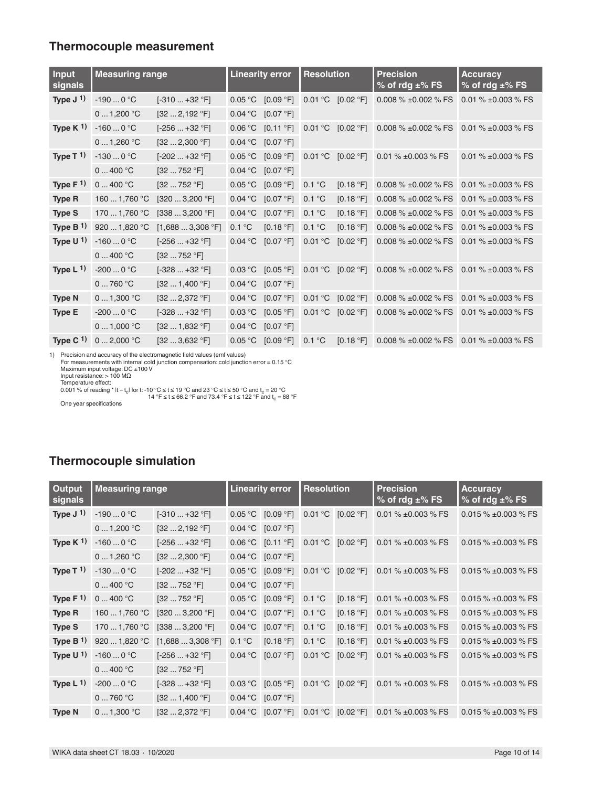### **Thermocouple measurement**

| <b>Input</b><br>signals | <b>Measuring range</b> |                                      |         | <b>Linearity error</b> | <b>Resolution</b> |           | <b>Precision</b><br>% of rdg $\pm$ % FS | <b>Accuracy</b><br>$%$ of rdg $±\%$ FS |  |
|-------------------------|------------------------|--------------------------------------|---------|------------------------|-------------------|-----------|-----------------------------------------|----------------------------------------|--|
| Type $J^{(1)}$          | $-1900$ °C             | $[-310+32 °F]$                       | 0.05 °C | [0.09 °F]              | 0.01 °C           | [0.02 °F] | 0.008 $% \pm 0.002$ % FS                | 0.01 % $\pm$ 0.003 % FS                |  |
|                         | 01,200 °C              | [322,192 °F]                         | 0.04 °C | [0.07 °F]              |                   |           |                                         |                                        |  |
| Type K $1$ )            | $-1600$ °C             | $[-256+32 °F]$                       | 0.06 °C | [0.11 °F]              | 0.01 °C           | [0.02 °F] | 0.008 $% \pm 0.002$ % FS                | 0.01 % $\pm$ 0.003 % FS                |  |
|                         | 01,260 °C              | [322,300 °F]                         | 0.04 °C | [0.07 °F]              |                   |           |                                         |                                        |  |
| Type T $1$ )            | $-1300$ °C             | $[-202+32 °F]$                       | 0.05 °C | [0.09 °F]              | 0.01 °C           | [0.02 °F] | 0.01 % $\pm$ 0.003 % FS                 | $0.01\% \pm 0.003\%$ FS                |  |
|                         | 0400 °C                | [32752 °F]                           | 0.04 °C | [0.07 °F]              |                   |           |                                         |                                        |  |
| Type $F1$               | 0400 °C                | [32752 °F]                           | 0.05 °C | [0.09 °F]              | 0.1 °C            | [0.18 °F] | 0.008 $% \pm 0.002$ % FS                | 0.01 % $\pm$ 0.003 % FS                |  |
| <b>Type R</b>           | 160  1,760 °C          | [3203,200 °F]                        | 0.04 °C | [0.07 °F]              | 0.1 °C            | [0.18 °F] | 0.008 $% \pm 0.002$ % FS                | 0.01 % $\pm$ 0.003 % FS                |  |
| <b>Type S</b>           | 170  1,760 °C          | [3383,200 °F]                        | 0.04 °C | [0.07 °F]              | 0.1 °C            | [0.18 °F] | 0.008 % ±0.002 % FS                     | 0.01 % $\pm$ 0.003 % FS                |  |
| Type $B1$               | 920  1,820 °C          | [1,6883,308 °F]                      | 0.1 °C  | [0.18 °F]              | 0.1 °C            | [0.18 °F] | 0.008 $% \pm 0.002$ % FS                | 0.01 % $\pm$ 0.003 % FS                |  |
| Type $U1$               | $-1600$ °C             | $[-256+32 °F]$                       | 0.04 °C | [0.07 °F]              | 0.01 °C           | [0.02 °F] | 0.008 $% \pm 0.002$ % FS                | 0.01 % $\pm$ 0.003 % FS                |  |
|                         | 0400 °C                | [32752 °F]                           |         |                        |                   |           |                                         |                                        |  |
| Type $L^{1}$            | $-2000$ °C             | $[-328+32 °F]$                       | 0.03 °C | [0.05 °F]              | 0.01 °C           | [0.02 °F] | 0.008 $% \pm 0.002$ % FS                | 0.01 % $\pm$ 0.003 % FS                |  |
|                         | 0760 °C                | [321,400 °F]                         | 0.04 °C | [0.07 °F]              |                   |           |                                         |                                        |  |
| <b>Type N</b>           | 01,300 °C              | $[32 \dots 2,372 \text{ }^{\circ}F]$ | 0.04 °C | [0.07 °F]              | 0.01 °C           | [0.02 °F] | 0.008 $% \pm 0.002$ % FS                | $0.01\% \pm 0.003\%$ FS                |  |
| Type E                  | $-2000$ °C             | $[-328+32 °F]$                       | 0.03 °C | [0.05 °F]              | 0.01 °C           | [0.02 °F] | 0.008 $% \pm 0.002$ % FS                | 0.01 % $\pm$ 0.003 % FS                |  |
|                         | 01,000 °C              | $[32 \dots 1,832 \degree F]$         | 0.04 °C | [0.07 °F]              |                   |           |                                         |                                        |  |
| Type C $1$ )            | 02,000 °C              | [323,632 °F]                         | 0.05 °C | [0.09 °F]              | 0.1 °C            | [0.18 °F] | 0.008 $% \pm 0.002$ % FS                | 0.01 % $\pm$ 0.003 % FS                |  |

1) Precision and accuracy of the electromagnetic field values (emf values)<br>
For measurements with internal cold junction compensation: cold junction error = 0.15 °C<br>
Maximum input voltage: DC ±100 V<br>
Input resistance: > 1

One year specifications

# **Thermocouple simulation**

| Output<br>signals | <b>Measuring range</b> |                                               | <b>Linearity error</b>          |                       | <b>Resolution</b>       |                          | <b>Precision</b><br>$%$ of rdg $±\%$ FS | <b>Accuracy</b><br>% of rdg $\pm\%$ FS |  |
|-------------------|------------------------|-----------------------------------------------|---------------------------------|-----------------------|-------------------------|--------------------------|-----------------------------------------|----------------------------------------|--|
| Type $J1$         | $-1900$ °C             | $[-310+32 °F]$                                | 0.05 °C                         | [0.09 °F]             | 0.01 °C                 | [0.02 °F]                | 0.01 % ±0.003 % FS                      | 0.015 % $\pm$ 0.003 % FS               |  |
|                   | 01,200 °C              | $[32 \dots 2, 192 \text{ }^{\circ} \text{F}]$ |                                 | 0.04 °C $[0.07 °F]$   |                         |                          |                                         |                                        |  |
| Type $K1$         | $-1600$ °C             | $[-256+32 °F]$                                |                                 | $0.06 °C$ [0.11 °F]   | $^{\circ}C$<br>0.01     | [0.02 °F]                | 0.01 % ±0.003 % FS                      | 0.015 % $\pm$ 0.003 % FS               |  |
|                   | 01,260 °C              | [322,300 °F]                                  | 0.04 °C                         | [0.07 °F]             |                         |                          |                                         |                                        |  |
| Type T $1)$       | $-1300$ °C             | $[-202 \dots +32$ °F]                         | 0.05 °C<br>[0.09 °F]<br>0.01 °C | [0.02 °F]             | 0.01 % $\pm$ 0.003 % FS | 0.015 $% \pm 0.003$ % FS |                                         |                                        |  |
|                   | 0400 °C                | [32752 °F]                                    |                                 | 0.04 °C $[0.07 °F]$   |                         |                          |                                         |                                        |  |
| Type $F1$         | 0400 °C                | [32752 °F]                                    |                                 | $0.05 °C$ $[0.09 °F]$ | 0.1 °C                  | [0.18 °F]                | 0.01 % $\pm$ 0.003 % FS                 | 0.015 % $\pm$ 0.003 % FS               |  |
| <b>Type R</b>     | 160  1,760 °C          | [3203,200 °F]                                 | 0.04 °C                         | [0.07 °F]             | 0.1 °C                  | [0.18 °F]                | 0.01 % ±0.003 % FS                      | 0.015 % $\pm$ 0.003 % FS               |  |
| <b>Type S</b>     | 170 $\dots$ 1,760 °C   | [3383,200 °F]                                 | 0.04 °C                         | [0.07 °F]             | 0.1 °C                  | [0.18 °F]                | 0.01 % ±0.003 % FS                      | 0.015 % $\pm$ 0.003 % FS               |  |
| Type $B1$         | 920  1,820 °C          | [1,6883,308 °F]                               | 0.1 °C                          | [0.18 °F]             | 0.1 °C                  | [0.18 °F]                | 0.01 % ±0.003 % FS                      | 0.015 % $\pm$ 0.003 % FS               |  |
| Type $U1$         | $-1600$ °C             | $[-256+32 °F]$                                | 0.04 °C                         | [0.07 °F]             | 0.01 °C                 | [0.02 °F]                | 0.01 % $\pm$ 0.003 % FS                 | 0.015 % $\pm$ 0.003 % FS               |  |
|                   | 0400 °C                | [32752 °F]                                    |                                 |                       |                         |                          |                                         |                                        |  |
| Type $L^{1}$      | $-2000$ °C             | $[-328+32 °F]$                                | 0.03 °C                         | [0.05 °F]             | $^{\circ}C$<br>0.01     | [0.02 °F]                | 0.01 % ±0.003 % FS                      | 0.015 % $\pm$ 0.003 % FS               |  |
|                   | 0760 °C                | $[32 \dots 1,400 \degree F]$                  | 0.04 °C                         | [0.07 °F]             |                         |                          |                                         |                                        |  |
| <b>Type N</b>     | 01,300 °C              | $[32 \dots 2,372 \text{ }^{\circ}$ F]         |                                 | $0.04 °C$ [0.07 °F]   | 0.01 °C                 | [0.02 °F]                | 0.01 % $\pm$ 0.003 % FS                 | 0.015 % $\pm$ 0.003 % FS               |  |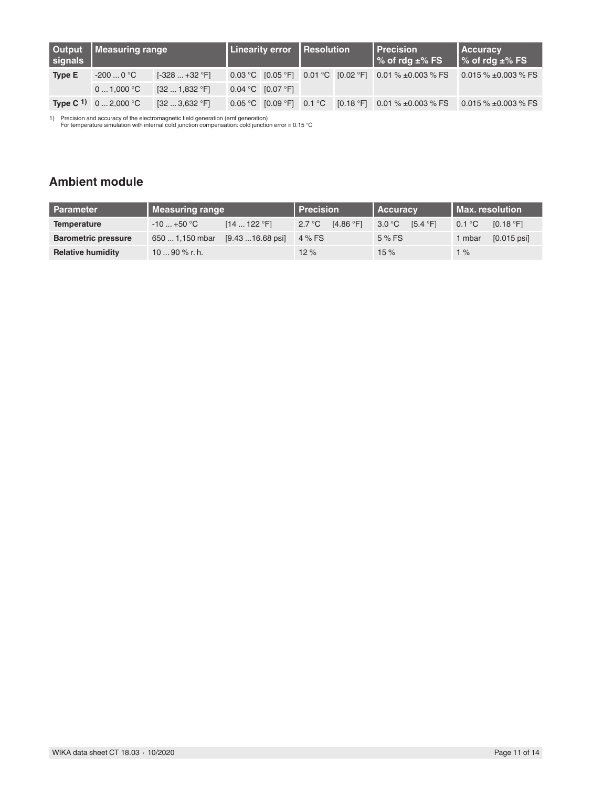| signals       | Output   Measuring range              |                                              | <b>Linearity error   Resolution</b> |                       |  |  | <b>Precision</b><br>$\frac{1}{6}$ % of rdg $\pm\%$ FS  | <b>Accuracy</b><br>$\frac{1}{6}$ % of rdg $\pm\%$ FS |  |
|---------------|---------------------------------------|----------------------------------------------|-------------------------------------|-----------------------|--|--|--------------------------------------------------------|------------------------------------------------------|--|
| <b>Type E</b> | $-2000$ °C                            | $[-328+32$ °F]                               |                                     |                       |  |  | 0.03 °C [0.05 °F] 0.01 °C [0.02 °F] 0.01 % ±0.003 % FS | 0.015 % $\pm$ 0.003 % FS                             |  |
|               | 01,000 °C                             | $[32 \dots 1,832 \text{ }^{\circ} \text{F}]$ |                                     | $0.04 °C$ $[0.07 °F]$ |  |  |                                                        |                                                      |  |
|               | <b>Type C<sup>1</sup></b> 0  2,000 °C | $[32 \dots 3,632 \text{ }^{\circ} \text{F}]$ |                                     |                       |  |  | 0.05 °C [0.09 °F] 0.1 °C [0.18 °F] 0.01 % ±0.003 % FS  | 0.015 $\%$ ±0.003 $\%$ FS                            |  |

1) Precision and accuracy of the electromagnetic field generation (emf generation) For temperature simulation with internal cold junction compensation: cold junction error = 0.15 °C

# **Ambient module**

| <b>Parameter</b>           | Measuring range | l Precision                      |        | l Accuracv |        | l Max. resolution |        |               |
|----------------------------|-----------------|----------------------------------|--------|------------|--------|-------------------|--------|---------------|
| Temperature                | $-10+50$ °C     | [14122 °F]                       | 2.7 °C | [4.86 °F]  | 3.0 °C | [5.4 °F]          | 0.1 °C | [0.18 °F]     |
| <b>Barometric pressure</b> | 650  1,150 mbar | $[9.43 \dots 16.68 \text{ psi}]$ | 4 % FS |            | 5 % FS |                   | i mbar | $[0.015$ psil |
| <b>Relative humidity</b>   | 10  90 % r. h.  |                                  | 12%    |            | 15%    |                   | $1\%$  |               |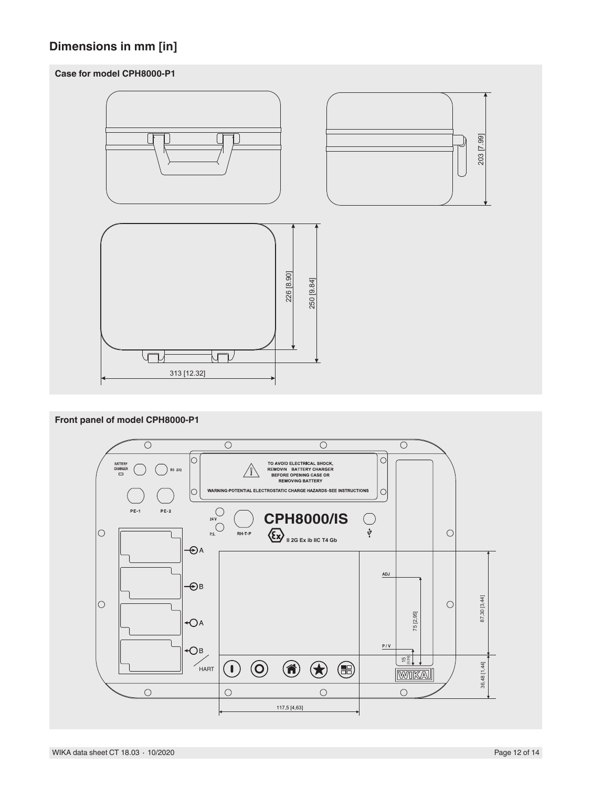# **Dimensions in mm [in]**

### **Case for model CPH8000-P1**



### **Front panel of model CPH8000-P1**

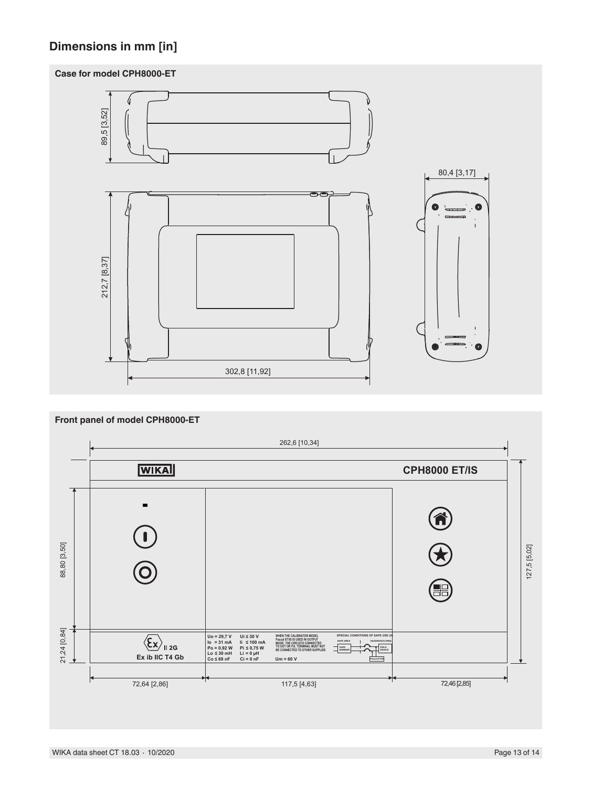# **Dimensions in mm [in]**

### **Case for model CPH8000-ET**



### **Front panel of model CPH8000-ET**262,6 [10,34] **WIKA CPH8000 ET/IS**  $\blacksquare$  $\circledR$  $\widehat{\mathbf{I}}$ 88,80 [3,50] 21,24 [0,84] 88,80 [3,50] 127,5 [5,02] 127,5 [5,02] Ó 21,24 [0,84]  $\langle \overline{\xi_{\mathbf{X}}} \rangle_{\mathbf{II} \, \mathbf{2G}}$ <br>**Ex ib IIC T4 Gb Uo = 29,7 V Io = 31 mA Po = 0,92 W Ii ≤ 100 mA Ui ≤ 30 V** WHEN THE CALIBRATOR MODEL<br>Pascal ET/IS IS USED IN OUTPUT<br>MODE, THE CIRCUITS CONNECTED<br>TO OUT OR P.S. TERMINAL MUST NOT THE RAVE IS TO A THARANDOUS AREA<br>BE CONNECTED TO OTHER SUPPLIES AND THE CONNECTED TO THE REAL PRESS **SAFE AREA HAZARDOUS AREA Pi ≤ 0,75 W SAFE BARRIER FIELD DEVICE Ci = 0 nF Li = 0 µH Um = 60 V Pascal ET/IS** 72,64 [2,86] **117**,5 [4,63] **117,5 2,46 [2,85]** 72,46 [2,85]